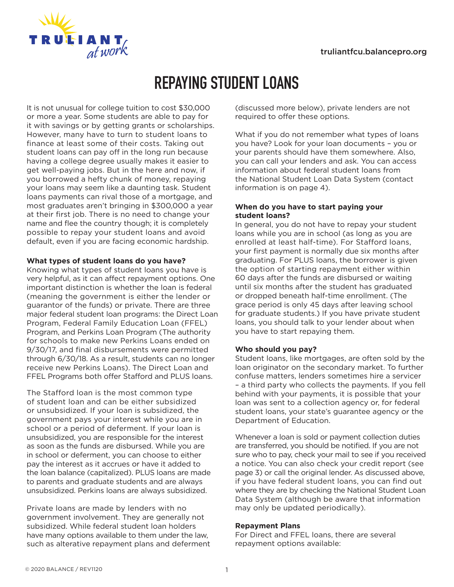

# **REPAYING STUDENT LOANS**

It is not unusual for college tuition to cost \$30,000 or more a year. Some students are able to pay for it with savings or by getting grants or scholarships. However, many have to turn to student loans to finance at least some of their costs. Taking out student loans can pay off in the long run because having a college degree usually makes it easier to get well-paying jobs. But in the here and now, if you borrowed a hefty chunk of money, repaying your loans may seem like a daunting task. Student loans payments can rival those of a mortgage, and most graduates aren't bringing in \$300,000 a year at their first job. There is no need to change your name and flee the country though; it is completely possible to repay your student loans and avoid default, even if you are facing economic hardship.

# **What types of student loans do you have?**

Knowing what types of student loans you have is very helpful, as it can affect repayment options. One important distinction is whether the loan is federal (meaning the government is either the lender or guarantor of the funds) or private. There are three major federal student loan programs: the Direct Loan Program, Federal Family Education Loan (FFEL) Program, and Perkins Loan Program (The authority for schools to make new Perkins Loans ended on 9/30/17, and final disbursements were permitted through 6/30/18. As a result, students can no longer receive new Perkins Loans). The Direct Loan and FFEL Programs both offer Stafford and PLUS loans.

The Stafford loan is the most common type of student loan and can be either subsidized or unsubsidized. If your loan is subsidized, the government pays your interest while you are in school or a period of deferment. If your loan is unsubsidized, you are responsible for the interest as soon as the funds are disbursed. While you are in school or deferment, you can choose to either pay the interest as it accrues or have it added to the loan balance (capitalized). PLUS loans are made to parents and graduate students and are always unsubsidized. Perkins loans are always subsidized.

Private loans are made by lenders with no government involvement. They are generally not subsidized. While federal student loan holders have many options available to them under the law, such as alterative repayment plans and deferment (discussed more below), private lenders are not required to offer these options.

What if you do not remember what types of loans you have? Look for your loan documents – you or your parents should have them somewhere. Also, you can call your lenders and ask. You can access information about federal student loans from the National Student Loan Data System (contact information is on page 4).

## **When do you have to start paying your student loans?**

In general, you do not have to repay your student loans while you are in school (as long as you are enrolled at least half-time). For Stafford loans, your first payment is normally due six months after graduating. For PLUS loans, the borrower is given the option of starting repayment either within 60 days after the funds are disbursed or waiting until six months after the student has graduated or dropped beneath half-time enrollment. (The grace period is only 45 days after leaving school for graduate students.) If you have private student loans, you should talk to your lender about when you have to start repaying them.

# **Who should you pay?**

Student loans, like mortgages, are often sold by the loan originator on the secondary market. To further confuse matters, lenders sometimes hire a servicer – a third party who collects the payments. If you fell behind with your payments, it is possible that your loan was sent to a collection agency or, for federal student loans, your state's guarantee agency or the Department of Education.

Whenever a loan is sold or payment collection duties are transferred, you should be notified. If you are not sure who to pay, check your mail to see if you received a notice. You can also check your credit report (see page 3) or call the original lender. As discussed above, if you have federal student loans, you can find out where they are by checking the National Student Loan Data System (although be aware that information may only be updated periodically).

#### **Repayment Plans**

For Direct and FFEL loans, there are several repayment options available: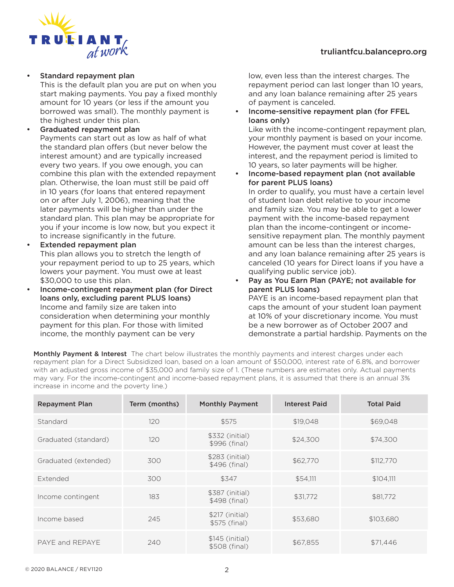# truliantfcu.balancepro.org



• Standard repayment plan

This is the default plan you are put on when you start making payments. You pay a fixed monthly amount for 10 years (or less if the amount you borrowed was small). The monthly payment is the highest under this plan.

- Graduated repayment plan Payments can start out as low as half of what the standard plan offers (but never below the interest amount) and are typically increased every two years. If you owe enough, you can combine this plan with the extended repayment plan. Otherwise, the loan must still be paid off in 10 years (for loans that entered repayment on or after July 1, 2006), meaning that the later payments will be higher than under the standard plan. This plan may be appropriate for you if your income is low now, but you expect it to increase significantly in the future.
- Extended repayment plan This plan allows you to stretch the length of your repayment period to up to 25 years, which lowers your payment. You must owe at least \$30,000 to use this plan.
- Income-contingent repayment plan (for Direct loans only, excluding parent PLUS loans) Income and family size are taken into consideration when determining your monthly payment for this plan. For those with limited income, the monthly payment can be very

low, even less than the interest charges. The repayment period can last longer than 10 years, and any loan balance remaining after 25 years of payment is canceled.

• Income-sensitive repayment plan (for FFEL loans only)

Like with the income-contingent repayment plan, your monthly payment is based on your income. However, the payment must cover at least the interest, and the repayment period is limited to 10 years, so later payments will be higher.

• Income-based repayment plan (not available for parent PLUS loans)

In order to qualify, you must have a certain level of student loan debt relative to your income and family size. You may be able to get a lower payment with the income-based repayment plan than the income-contingent or incomesensitive repayment plan. The monthly payment amount can be less than the interest charges, and any loan balance remaining after 25 years is canceled (10 years for Direct loans if you have a qualifying public service job).

Pay as You Earn Plan (PAYE; not available for parent PLUS loans)

PAYE is an income-based repayment plan that caps the amount of your student loan payment at 10% of your discretionary income. You must be a new borrower as of October 2007 and demonstrate a partial hardship. Payments on the

Monthly Payment & Interest The chart below illustrates the monthly payments and interest charges under each repayment plan for a Direct Subsidized loan, based on a loan amount of \$50,000, interest rate of 6.8%, and borrower with an adjusted gross income of \$35,000 and family size of 1. (These numbers are estimates only. Actual payments may vary. For the income-contingent and income-based repayment plans, it is assumed that there is an annual 3% increase in income and the poverty line.)

| <b>Repayment Plan</b> | Term (months) | <b>Monthly Payment</b>           | <b>Interest Paid</b> | <b>Total Paid</b> |
|-----------------------|---------------|----------------------------------|----------------------|-------------------|
| Standard              | 120           | \$575                            | \$19,048             | \$69,048          |
| Graduated (standard)  | 120           | \$332 (initial)<br>\$996 (final) | \$24,300             | \$74,300          |
| Graduated (extended)  | 300           | \$283 (initial)<br>\$496 (final) | \$62,770             | \$112,770         |
| Extended              | 300           | \$347                            | \$54,111             | \$104,111         |
| Income contingent     | 183           | \$387 (initial)<br>\$498 (final) | \$31.772             | \$81,772          |
| Income based          | 245           | \$217 (initial)<br>\$575 (final) | \$53,680             | \$103,680         |
| PAYE and REPAYE       | 240           | \$145 (initial)<br>\$508 (final) | \$67.855             | \$71,446          |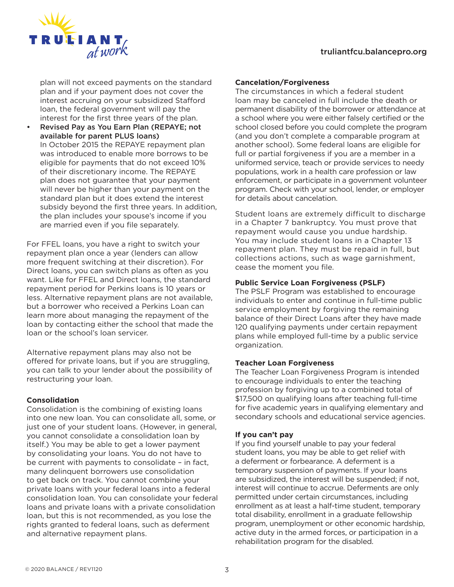# truliantfcu.balancepro.org



plan will not exceed payments on the standard plan and if your payment does not cover the interest accruing on your subsidized Stafford loan, the federal government will pay the interest for the first three years of the plan.

• Revised Pay as You Earn Plan (REPAYE; not available for parent PLUS loans) In October 2015 the REPAYE repayment plan was introduced to enable more borrows to be eligible for payments that do not exceed 10% of their discretionary income. The REPAYE plan does not guarantee that your payment will never be higher than your payment on the standard plan but it does extend the interest subsidy beyond the first three years. In addition, the plan includes your spouse's income if you are married even if you file separately.

For FFEL loans, you have a right to switch your repayment plan once a year (lenders can allow more frequent switching at their discretion). For Direct loans, you can switch plans as often as you want. Like for FFEL and Direct loans, the standard repayment period for Perkins loans is 10 years or less. Alternative repayment plans are not available, but a borrower who received a Perkins Loan can learn more about managing the repayment of the loan by contacting either the school that made the loan or the school's loan servicer.

Alternative repayment plans may also not be offered for private loans, but if you are struggling, you can talk to your lender about the possibility of restructuring your loan.

#### **Consolidation**

Consolidation is the combining of existing loans into one new loan. You can consolidate all, some, or just one of your student loans. (However, in general, you cannot consolidate a consolidation loan by itself.) You may be able to get a lower payment by consolidating your loans. You do not have to be current with payments to consolidate – in fact, many delinquent borrowers use consolidation to get back on track. You cannot combine your private loans with your federal loans into a federal consolidation loan. You can consolidate your federal loans and private loans with a private consolidation loan, but this is not recommended, as you lose the rights granted to federal loans, such as deferment and alternative repayment plans.

#### **Cancelation/Forgiveness**

The circumstances in which a federal student loan may be canceled in full include the death or permanent disability of the borrower or attendance at a school where you were either falsely certified or the school closed before you could complete the program (and you don't complete a comparable program at another school). Some federal loans are eligible for full or partial forgiveness if you are a member in a uniformed service, teach or provide services to needy populations, work in a health care profession or law enforcement, or participate in a government volunteer program. Check with your school, lender, or employer for details about cancelation.

Student loans are extremely difficult to discharge in a Chapter 7 bankruptcy. You must prove that repayment would cause you undue hardship. You may include student loans in a Chapter 13 repayment plan. They must be repaid in full, but collections actions, such as wage garnishment, cease the moment you file.

### **Public Service Loan Forgiveness (PSLF)**

The PSLF Program was established to encourage individuals to enter and continue in full-time public service employment by forgiving the remaining balance of their Direct Loans after they have made 120 qualifying payments under certain repayment plans while employed full-time by a public service organization.

#### **Teacher Loan Forgiveness**

The Teacher Loan Forgiveness Program is intended to encourage individuals to enter the teaching profession by forgiving up to a combined total of \$17,500 on qualifying loans after teaching full-time for five academic years in qualifying elementary and secondary schools and educational service agencies.

#### **If you can't pay**

If you find yourself unable to pay your federal student loans, you may be able to get relief with a deferment or forbearance. A deferment is a temporary suspension of payments. If your loans are subsidized, the interest will be suspended; if not, interest will continue to accrue. Deferments are only permitted under certain circumstances, including enrollment as at least a half-time student, temporary total disability, enrollment in a graduate fellowship program, unemployment or other economic hardship, active duty in the armed forces, or participation in a rehabilitation program for the disabled.